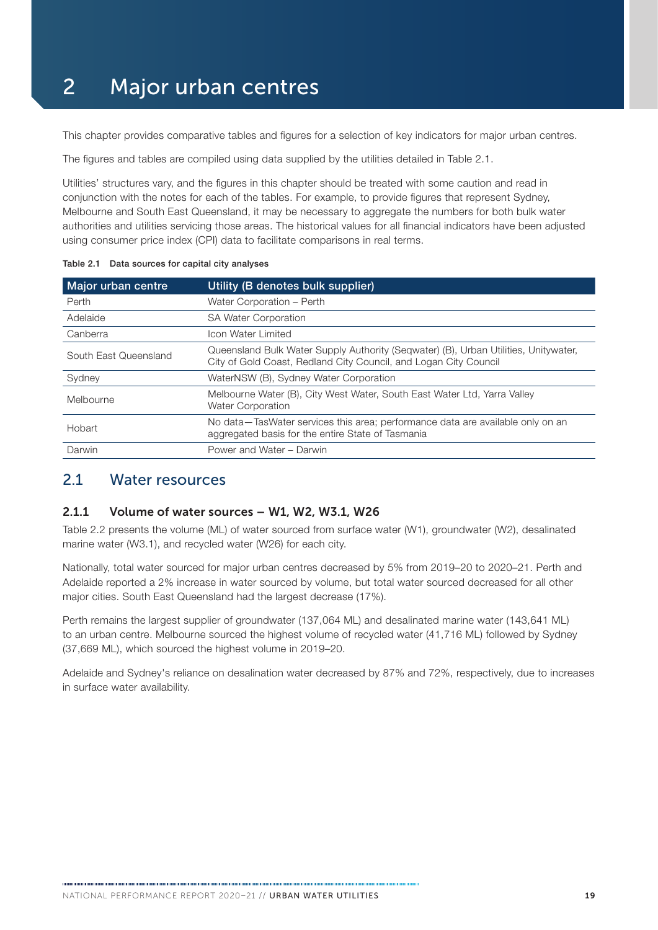# 2 Major urban centres

This chapter provides comparative tables and figures for a selection of key indicators for major urban centres.

The figures and tables are compiled using data supplied by the utilities detailed in Table 2.1.

Utilities' structures vary, and the figures in this chapter should be treated with some caution and read in conjunction with the notes for each of the tables. For example, to provide figures that represent Sydney, Melbourne and South East Queensland, it may be necessary to aggregate the numbers for both bulk water authorities and utilities servicing those areas. The historical values for all financial indicators have been adjusted using consumer price index (CPI) data to facilitate comparisons in real terms.

| Major urban centre    | Utility (B denotes bulk supplier)                                                                                                                       |
|-----------------------|---------------------------------------------------------------------------------------------------------------------------------------------------------|
| Perth                 | Water Corporation - Perth                                                                                                                               |
| Adelaide              | <b>SA Water Corporation</b>                                                                                                                             |
| Canberra              | Icon Water Limited                                                                                                                                      |
| South East Queensland | Queensland Bulk Water Supply Authority (Seqwater) (B), Urban Utilities, Unitywater,<br>City of Gold Coast, Redland City Council, and Logan City Council |
| Sydney                | WaterNSW (B), Sydney Water Corporation                                                                                                                  |
| Melbourne             | Melbourne Water (B), City West Water, South East Water Ltd, Yarra Valley<br><b>Water Corporation</b>                                                    |
| Hobart                | No data—TasWater services this area; performance data are available only on an<br>aggregated basis for the entire State of Tasmania                     |
| Darwin                | Power and Water - Darwin                                                                                                                                |

Table 2.1 Data sources for capital city analyses

### 2.1 Water resources

#### 2.1.1 Volume of water sources – W1, W2, W3.1, W26

Table 2.2 presents the volume (ML) of water sourced from surface water (W1), groundwater (W2), desalinated marine water (W3.1), and recycled water (W26) for each city.

Nationally, total water sourced for major urban centres decreased by 5% from 2019–20 to 2020–21. Perth and Adelaide reported a 2% increase in water sourced by volume, but total water sourced decreased for all other major cities. South East Queensland had the largest decrease (17%).

Perth remains the largest supplier of groundwater (137,064 ML) and desalinated marine water (143,641 ML) to an urban centre. Melbourne sourced the highest volume of recycled water (41,716 ML) followed by Sydney (37,669 ML), which sourced the highest volume in 2019–20.

Adelaide and Sydney's reliance on desalination water decreased by 87% and 72%, respectively, due to increases in surface water availability.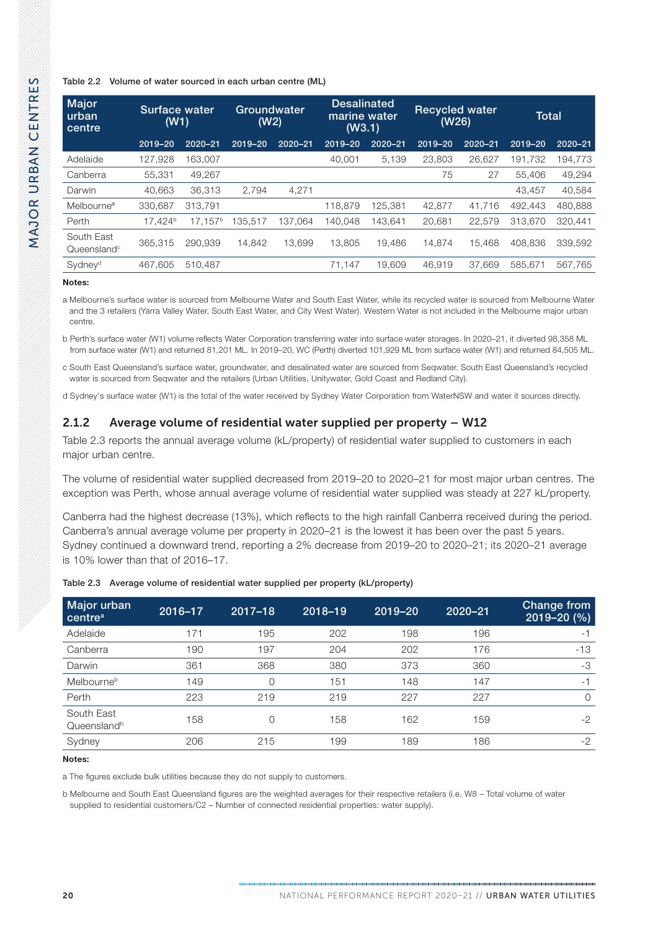| Major<br>urban<br>centre              | Surface water<br>(W1) |                     | Groundwater<br>(W2) |         | <b>Desalinated</b><br>marine water<br>(W3.1) |             | <b>Recycled water</b><br>(W26) |             | <b>Total</b> |             |
|---------------------------------------|-----------------------|---------------------|---------------------|---------|----------------------------------------------|-------------|--------------------------------|-------------|--------------|-------------|
|                                       | 2019-20               | 2020-21             | 2019-20             | 2020-21 | 2019-20                                      | $2020 - 21$ | 2019-20                        | $2020 - 21$ | 2019-20      | $2020 - 21$ |
| Adelaide                              | 127,928               | 163,007             |                     |         | 40,001                                       | 5,139       | 23,803                         | 26,627      | 191.732      | 194,773     |
| Canberra                              | 55.331                | 49,267              |                     |         |                                              |             | 75                             | 27          | 55,406       | 49,294      |
| Darwin                                | 40,663                | 36,313              | 2.794               | 4,271   |                                              |             |                                |             | 43,457       | 40,584      |
| Melbourne <sup>a</sup>                | 330,687               | 313.791             |                     |         | 118,879                                      | 125.381     | 42.877                         | 41.716      | 492.443      | 480,888     |
| Perth                                 | 17.424 <sup>b</sup>   | 17.157 <sup>b</sup> | 135.517             | 137.064 | 140.048                                      | 143.641     | 20,681                         | 22.579      | 313.670      | 320,441     |
| South East<br>Queensland <sup>c</sup> | 365,315               | 290.939             | 14.842              | 13.699  | 13,805                                       | 19.486      | 14.874                         | 15.468      | 408.836      | 339,592     |
| Sydney <sup>d</sup>                   | 467,605               | 510.487             |                     |         | 71,147                                       | 19,609      | 46,919                         | 37.669      | 585.671      | 567,765     |

Notes:

a Melbourne's surface water is sourced from Melbourne Water and South East Water, while its recycled water is sourced from Melbourne Water and the 3 retailers (Yarra Valley Water, South East Water, and City West Water). Western Water is not included in the Melbourne major urban centre.

b Perth's surface water (W1) volume reflects Water Corporation transferring water into surface water storages. In 2020–21, it diverted 98,358 ML from surface water (W1) and returned 81,201 ML. In 2019–20, WC (Perth) diverted 101,929 ML from surface water (W1) and returned 84,505 ML.

c South East Queensland's surface water, groundwater, and desalinated water are sourced from Seqwater. South East Queensland's recycled water is sourced from Seqwater and the retailers (Urban Utilities, Unitywater, Gold Coast and Redland City).

d Sydney's surface water (W1) is the total of the water received by Sydney Water Corporation from WaterNSW and water it sources directly.

### 2.1.2 Average volume of residential water supplied per property – W12

Table 2.3 reports the annual average volume (kL/property) of residential water supplied to customers in each major urban centre.

The volume of residential water supplied decreased from 2019–20 to 2020–21 for most major urban centres. The exception was Perth, whose annual average volume of residential water supplied was steady at 227 kL/property.

Canberra had the highest decrease (13%), which reflects to the high rainfall Canberra received during the period. Canberra's annual average volume per property in 2020–21 is the lowest it has been over the past 5 years. Sydney continued a downward trend, reporting a 2% decrease from 2019–20 to 2020–21; its 2020–21 average is 10% lower than that of 2016–17.

| Major urban<br>centre <sup>a</sup>    | 2016-17 | $2017 - 18$ | 2018-19 | 2019-20 | $2020 - 21$ | Change from<br>$2019 - 20(%)$ |
|---------------------------------------|---------|-------------|---------|---------|-------------|-------------------------------|
| Adelaide                              | 171     | 195         | 202     | 198     | 196         | - 1                           |
| Canberra                              | 190     | 197         | 204     | 202     | 176         | $-13$                         |
| Darwin                                | 361     | 368         | 380     | 373     | 360         | -3                            |
| Melbourneb                            | 149     | 0           | 151     | 148     | 147         | $-1$                          |
| Perth                                 | 223     | 219         | 219     | 227     | 227         | $\Omega$                      |
| South East<br>Queensland <sup>b</sup> | 158     | 0           | 158     | 162     | 159         | $-2$                          |
| Sydney                                | 206     | 215         | 199     | 189     | 186         | $-2$                          |

#### Table 2.3 Average volume of residential water supplied per property (kL/property)

Notes:

a The figures exclude bulk utilities because they do not supply to customers.

b Melbourne and South East Queensland figures are the weighted averages for their respective retailers (i.e. W8 – Total volume of water supplied to residential customers/C2 – Number of connected residential properties: water supply).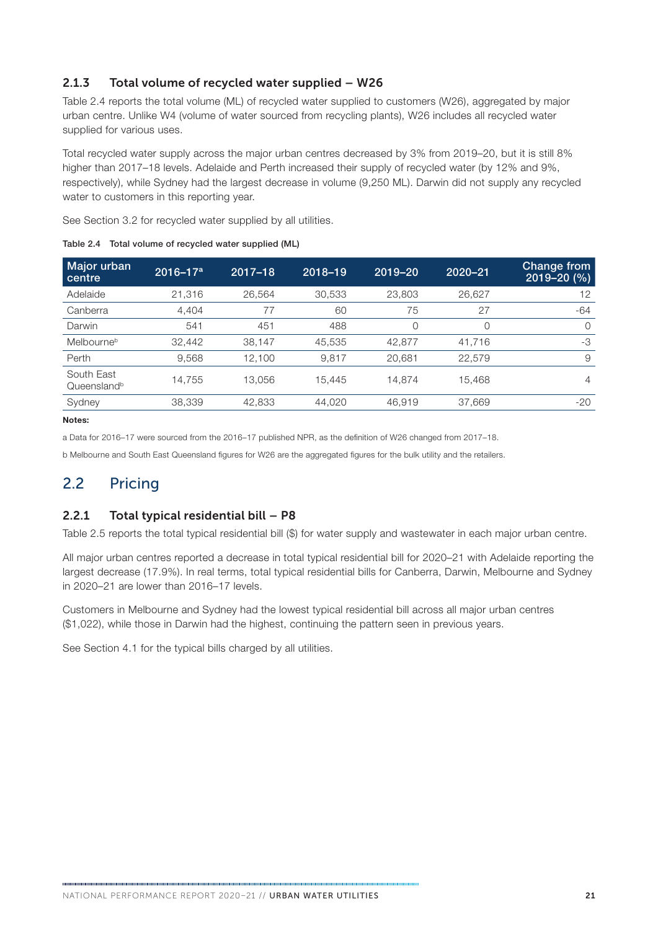### 2.1.3 Total volume of recycled water supplied – W26

Table 2.4 reports the total volume (ML) of recycled water supplied to customers (W26), aggregated by major urban centre. Unlike W4 (volume of water sourced from recycling plants), W26 includes all recycled water supplied for various uses.

Total recycled water supply across the major urban centres decreased by 3% from 2019–20, but it is still 8% higher than 2017–18 levels. Adelaide and Perth increased their supply of recycled water (by 12% and 9%, respectively), while Sydney had the largest decrease in volume (9,250 ML). Darwin did not supply any recycled water to customers in this reporting year.

See [Section 3.2](#page--1-0) for recycled water supplied by all utilities.

| Major urban<br>  centre               | $2016 - 17a$ | $2017 - 18$ | 2018-19 | 2019-20 | $2020 - 21$ | Change from<br>$2019 - 20(%)$ |
|---------------------------------------|--------------|-------------|---------|---------|-------------|-------------------------------|
| Adelaide                              | 21,316       | 26,564      | 30,533  | 23,803  | 26,627      | 12                            |
| Canberra                              | 4.404        | 77          | 60      | 75      | 27          | $-64$                         |
| Darwin                                | 541          | 451         | 488     | 0       | 0           | $\Omega$                      |
| Melbourneb                            | 32,442       | 38,147      | 45,535  | 42,877  | 41,716      | $-3$                          |
| Perth                                 | 9,568        | 12.100      | 9.817   | 20.681  | 22,579      | 9                             |
| South East<br>Queensland <sup>b</sup> | 14,755       | 13.056      | 15.445  | 14.874  | 15.468      | 4                             |
| Sydney                                | 38,339       | 42,833      | 44,020  | 46.919  | 37,669      | $-20$                         |

Table 2.4 Total volume of recycled water supplied (ML)

Notes:

a Data for 2016–17 were sourced from the 2016–17 published NPR, as the definition of W26 changed from 2017–18.

b Melbourne and South East Queensland figures for W26 are the aggregated figures for the bulk utility and the retailers.

### 2.2 Pricing

### 2.2.1 Total typical residential bill – P8

[Table 2.5](#page-3-0) reports the total typical residential bill (\$) for water supply and wastewater in each major urban centre.

All major urban centres reported a decrease in total typical residential bill for 2020–21 with Adelaide reporting the largest decrease (17.9%). In real terms, total typical residential bills for Canberra, Darwin, Melbourne and Sydney in 2020–21 are lower than 2016–17 levels.

Customers in Melbourne and Sydney had the lowest typical residential bill across all major urban centres (\$1,022), while those in Darwin had the highest, continuing the pattern seen in previous years.

See [Section 4.1](#page--1-0) for the typical bills charged by all utilities.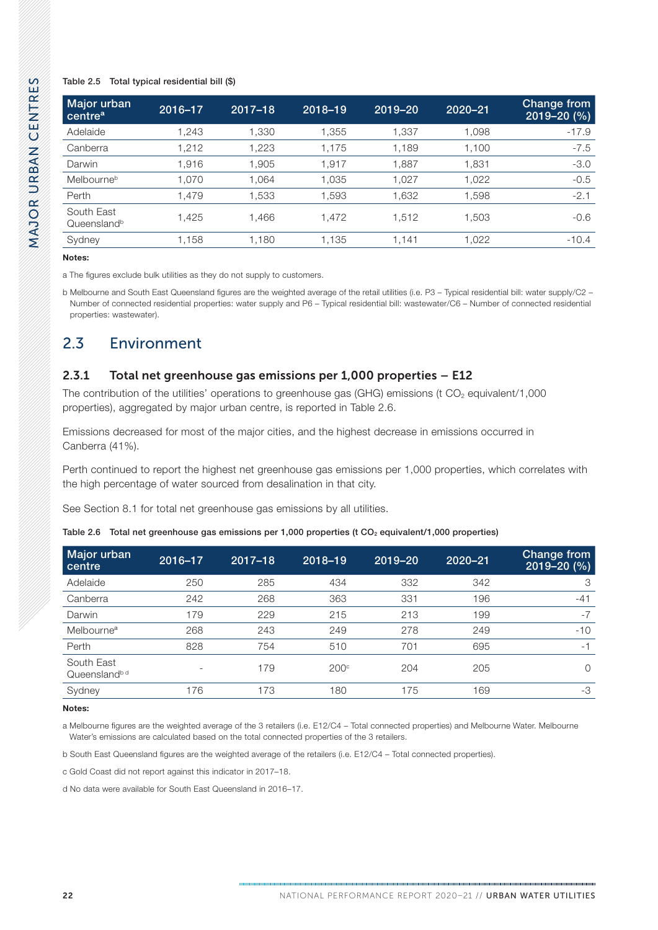#### <span id="page-3-0"></span>Table 2.5 Total typical residential bill (\$)

| Major urban<br>centre <sup>a</sup>    | 2016-17 | $2017 - 18$ | 2018-19 | 2019-20 | $2020 - 21$ | Change from<br>$2019 - 20$ (%) |
|---------------------------------------|---------|-------------|---------|---------|-------------|--------------------------------|
| Adelaide                              | 1,243   | 1,330       | 1,355   | 1,337   | 1,098       | $-17.9$                        |
| Canberra                              | 1,212   | 1,223       | 1,175   | 1,189   | 1,100       | $-7.5$                         |
| Darwin                                | 1,916   | 1,905       | 1,917   | 1,887   | 1,831       | $-3.0$                         |
| Melbourneb                            | 1.070   | 1,064       | 1,035   | 1.027   | 1,022       | $-0.5$                         |
| Perth                                 | 1.479   | 1.533       | 1,593   | 1,632   | 1,598       | $-2.1$                         |
| South East<br>Queensland <sup>b</sup> | 1,425   | 1.466       | 1.472   | 1,512   | 1.503       | $-0.6$                         |
| Sydney                                | 1,158   | 1,180       | 1,135   | 1,141   | 1,022       | $-10.4$                        |

Notes:

a The figures exclude bulk utilities as they do not supply to customers.

b Melbourne and South East Queensland figures are the weighted average of the retail utilities (i.e. P3 – Typical residential bill: water supply/C2 – Number of connected residential properties: water supply and P6 – Typical residential bill: wastewater/C6 – Number of connected residential properties: wastewater).

### 2.3 Environment

### 2.3.1 Total net greenhouse gas emissions per 1,000 properties – E12

The contribution of the utilities' operations to greenhouse gas (GHG) emissions (t  $CO<sub>2</sub>$  equivalent/1,000 properties), aggregated by major urban centre, is reported in Table 2.6.

Emissions decreased for most of the major cities, and the highest decrease in emissions occurred in Canberra (41%).

Perth continued to report the highest net greenhouse gas emissions per 1,000 properties, which correlates with the high percentage of water sourced from desalination in that city.

See [Section 8.1](#page--1-0) for total net greenhouse gas emissions by all utilities.

| 2016-17                  | $2017 - 18$ | 2018-19          | 2019-20 | $2020 - 21$ | Change from<br>$2019 - 20$ (%) |
|--------------------------|-------------|------------------|---------|-------------|--------------------------------|
| 250                      | 285         | 434              | 332     | 342         | 3                              |
| 242                      | 268         | 363              | 331     | 196         | $-41$                          |
| 179                      | 229         | 215              | 213     | 199         | $-7$                           |
| 268                      | 243         | 249              | 278     | 249         | $-10$                          |
| 828                      | 754         | 510              | 701     | 695         | $-1$                           |
| $\overline{\phantom{a}}$ | 179         | 200 <sup>c</sup> | 204     | 205         | O                              |
| 176                      | 173         | 180              | 175     | 169         | -3                             |
|                          |             |                  |         |             |                                |

Table 2.6 Total net greenhouse gas emissions per 1,000 properties (t CO<sub>2</sub> equivalent/1,000 properties)

#### Notes:

a Melbourne figures are the weighted average of the 3 retailers (i.e. E12/C4 – Total connected properties) and Melbourne Water. Melbourne Water's emissions are calculated based on the total connected properties of the 3 retailers.

b South East Queensland figures are the weighted average of the retailers (i.e. E12/C4 – Total connected properties).

c Gold Coast did not report against this indicator in 2017–18.

d No data were available for South East Queensland in 2016–17.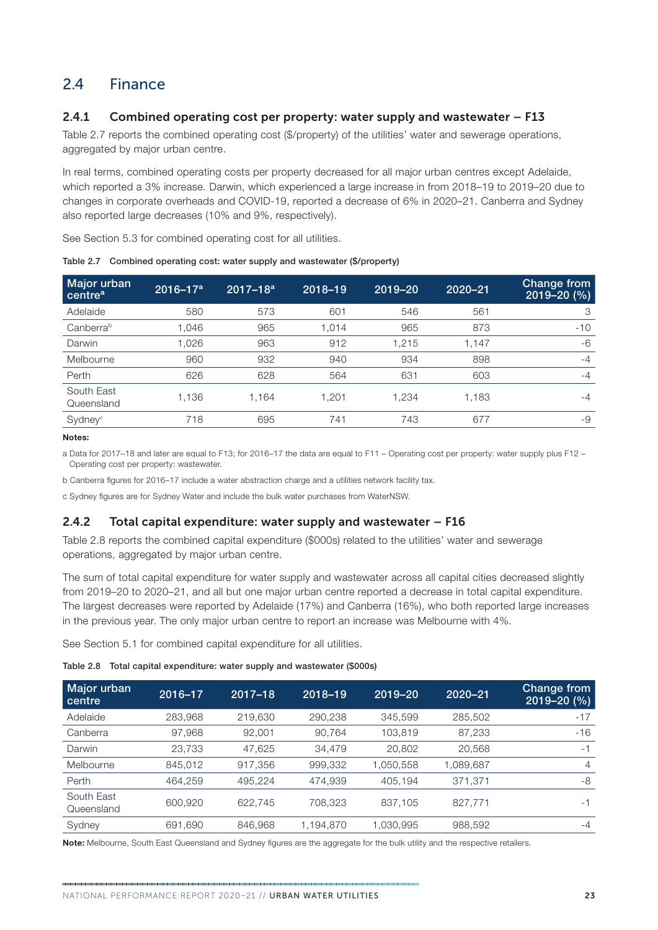### 2.4 Finance

### 2.4.1 Combined operating cost per property: water supply and wastewater – F13

Table 2.7 reports the combined operating cost (\$/property) of the utilities' water and sewerage operations, aggregated by major urban centre.

In real terms, combined operating costs per property decreased for all major urban centres except Adelaide, which reported a 3% increase. Darwin, which experienced a large increase in from 2018–19 to 2019–20 due to changes in corporate overheads and COVID-19, reported a decrease of 6% in 2020–21. Canberra and Sydney also reported large decreases (10% and 9%, respectively).

See [Section 5.3](#page--1-0) for combined operating cost for all utilities.

| Major urban<br>centre <sup>a</sup> | $2016 - 17a$ | $2017 - 18a$ | 2018-19 | 2019-20 | $2020 - 21$ | Change from<br>$2019 - 20(%)$ |
|------------------------------------|--------------|--------------|---------|---------|-------------|-------------------------------|
| Adelaide                           | 580          | 573          | 601     | 546     | 561         | 3                             |
| Canberra <sup>b</sup>              | 1,046        | 965          | 1,014   | 965     | 873         | $-10$                         |
| Darwin                             | 1,026        | 963          | 912     | 1,215   | 1,147       | $-6$                          |
| Melbourne                          | 960          | 932          | 940     | 934     | 898         | $-4$                          |
| Perth                              | 626          | 628          | 564     | 631     | 603         | $-4$                          |
| South East<br>Queensland           | 1,136        | 1.164        | 1.201   | 1,234   | 1.183       | $-4$                          |
| Sydney <sup>c</sup>                | 718          | 695          | 741     | 743     | 677         | -9                            |

Table 2.7 Combined operating cost: water supply and wastewater (\$/property)

Notes:

a Data for 2017–18 and later are equal to F13; for 2016–17 the data are equal to F11 – Operating cost per property: water supply plus F12 – Operating cost per property: wastewater.

b Canberra figures for 2016–17 include a water abstraction charge and a utilities network facility tax.

c Sydney figures are for Sydney Water and include the bulk water purchases from WaterNSW.

### 2.4.2 Total capital expenditure: water supply and wastewater – F16

Table 2.8 reports the combined capital expenditure (\$000s) related to the utilities' water and sewerage operations, aggregated by major urban centre.

The sum of total capital expenditure for water supply and wastewater across all capital cities decreased slightly from 2019–20 to 2020–21, and all but one major urban centre reported a decrease in total capital expenditure. The largest decreases were reported by Adelaide (17%) and Canberra (16%), who both reported large increases in the previous year. The only major urban centre to report an increase was Melbourne with 4%.

See [Section 5.1](#page--1-0) for combined capital expenditure for all utilities.

Table 2.8 Total capital expenditure: water supply and wastewater (\$000s)

| Major urban<br>centre    | 2016-17 | $2017 - 18$ | 2018-19   | 2019-20   | $2020 - 21$ | Change from<br>$2019 - 20(%)$ |
|--------------------------|---------|-------------|-----------|-----------|-------------|-------------------------------|
| Adelaide                 | 283,968 | 219,630     | 290,238   | 345,599   | 285,502     | $-17$                         |
| Canberra                 | 97,968  | 92,001      | 90,764    | 103,819   | 87,233      | $-16$                         |
| Darwin                   | 23.733  | 47,625      | 34,479    | 20,802    | 20,568      | $-1$                          |
| Melbourne                | 845,012 | 917,356     | 999,332   | 1,050,558 | 1,089,687   | $\overline{4}$                |
| Perth                    | 464,259 | 495,224     | 474,939   | 405,194   | 371.371     | -8                            |
| South East<br>Queensland | 600,920 | 622.745     | 708.323   | 837.105   | 827,771     | -1                            |
| Sydney                   | 691,690 | 846,968     | 1,194,870 | 1,030,995 | 988,592     | $-4$                          |

Note: Melbourne, South East Queensland and Sydney figures are the aggregate for the bulk utility and the respective retailers.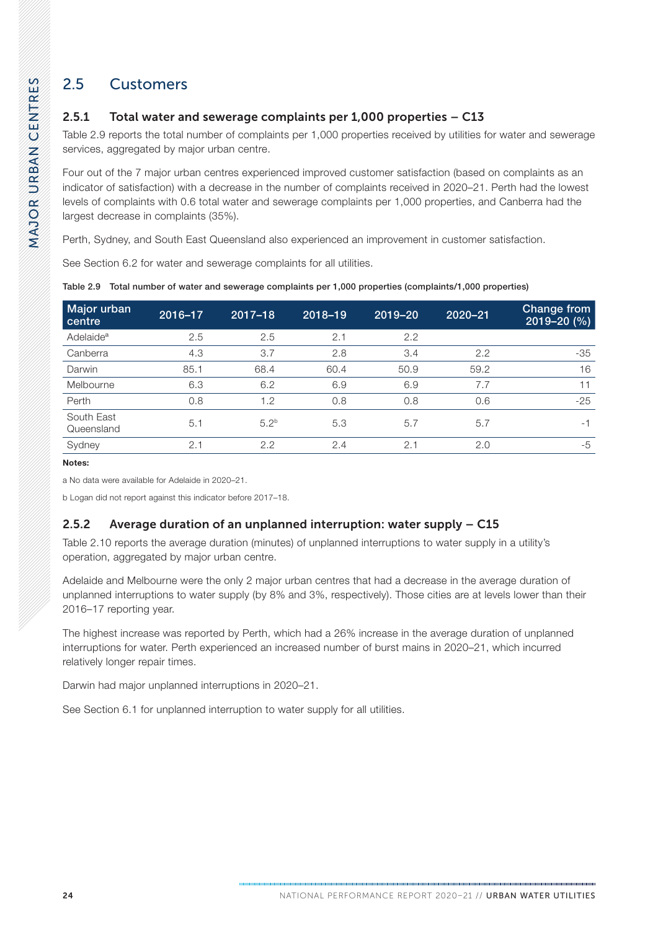## 2.5 Customers

### 2.5.1 Total water and sewerage complaints per 1,000 properties – C13

Table 2.9 reports the total number of complaints per 1,000 properties received by utilities for water and sewerage services, aggregated by major urban centre.

Four out of the 7 major urban centres experienced improved customer satisfaction (based on complaints as an indicator of satisfaction) with a decrease in the number of complaints received in 2020–21. Perth had the lowest levels of complaints with 0.6 total water and sewerage complaints per 1,000 properties, and Canberra had the largest decrease in complaints (35%).

Perth, Sydney, and South East Queensland also experienced an improvement in customer satisfaction.

See [Section 6.2](#page--1-0) for water and sewerage complaints for all utilities.

| Major urban<br>centre    | 2016-17 | $2017 - 18$      | 2018-19 | 2019-20 | $2020 - 21$ | Change from<br>$2019 - 20(%)$ |
|--------------------------|---------|------------------|---------|---------|-------------|-------------------------------|
| Adelaide <sup>a</sup>    | 2.5     | 2.5              | 2.1     | 2.2     |             |                               |
| Canberra                 | 4.3     | 3.7              | 2.8     | 3.4     | 2.2         | -35                           |
| Darwin                   | 85.1    | 68.4             | 60.4    | 50.9    | 59.2        | 16                            |
| Melbourne                | 6.3     | 6.2              | 6.9     | 6.9     | 7.7         | 11                            |
| Perth                    | 0.8     | 1.2              | 0.8     | 0.8     | 0.6         | $-25$                         |
| South East<br>Queensland | 5.1     | 5.2 <sup>b</sup> | 5.3     | 5.7     | 5.7         | $-1$                          |
| Sydney                   | 2.1     | 2.2              | 2.4     | 2.1     | 2.0         | $-5$                          |

Table 2.9 Total number of water and sewerage complaints per 1,000 properties (complaints/1,000 properties)

Notes:

a No data were available for Adelaide in 2020–21.

b Logan did not report against this indicator before 2017–18.

### 2.5.2 Average duration of an unplanned interruption: water supply – C15

[Table 2.10](#page-6-0) reports the average duration (minutes) of unplanned interruptions to water supply in a utility's operation, aggregated by major urban centre.

Adelaide and Melbourne were the only 2 major urban centres that had a decrease in the average duration of unplanned interruptions to water supply (by 8% and 3%, respectively). Those cities are at levels lower than their 2016–17 reporting year.

The highest increase was reported by Perth, which had a 26% increase in the average duration of unplanned interruptions for water. Perth experienced an increased number of burst mains in 2020–21, which incurred relatively longer repair times.

Darwin had major unplanned interruptions in 2020–21.

See [Section 6.1](#page--1-0) for unplanned interruption to water supply for all utilities.